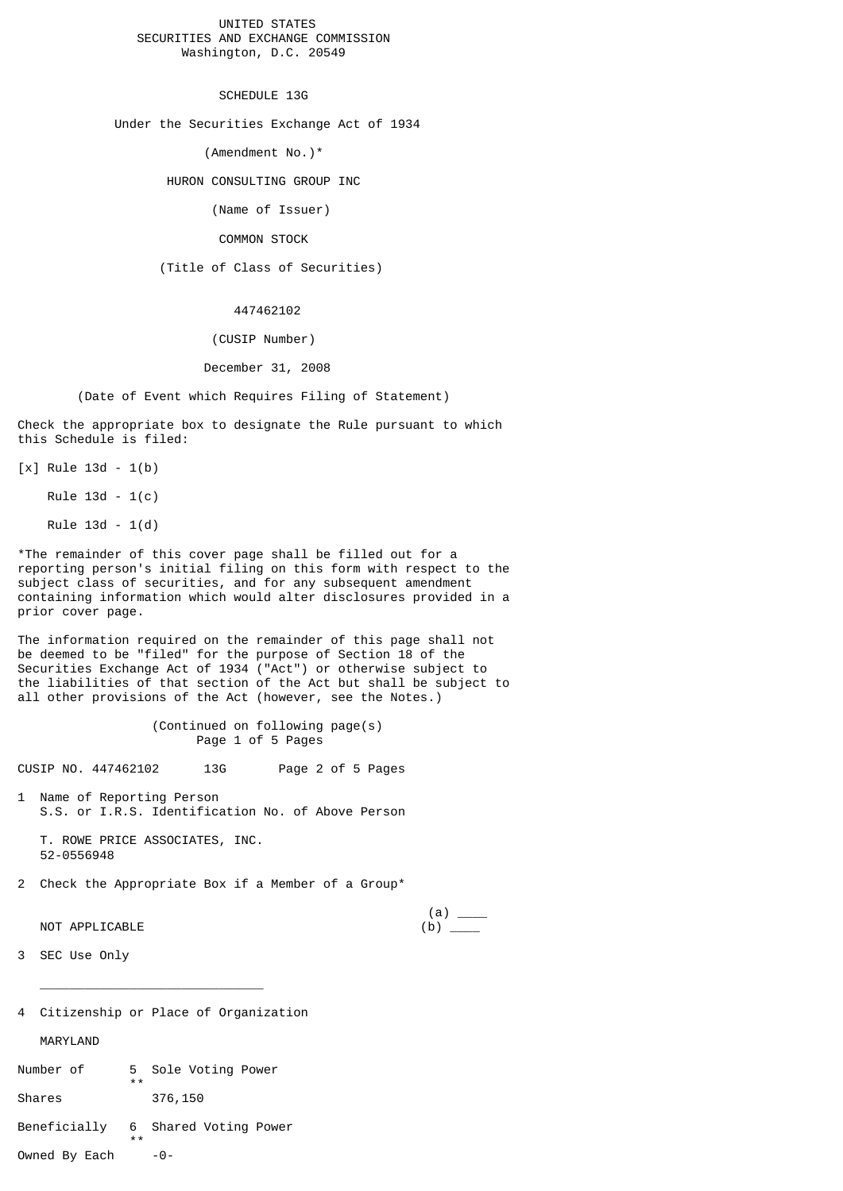## UNITED STATES SECURITIES AND EXCHANGE COMMISSION Washington, D.C. 20549

SCHEDULE 13G

Under the Securities Exchange Act of 1934

(Amendment No.)\*

HURON CONSULTING GROUP INC

(Name of Issuer)

COMMON STOCK

(Title of Class of Securities)

447462102

(CUSIP Number)

December 31, 2008

(Date of Event which Requires Filing of Statement)

Check the appropriate box to designate the Rule pursuant to which this Schedule is filed:

 $[x]$  Rule 13d - 1(b)

Rule 13d - 1(c)

Rule 13d - 1(d)

\*The remainder of this cover page shall be filled out for a reporting person's initial filing on this form with respect to the subject class of securities, and for any subsequent amendment containing information which would alter disclosures provided in a prior cover page.

The information required on the remainder of this page shall not be deemed to be "filed" for the purpose of Section 18 of the Securities Exchange Act of 1934 ("Act") or otherwise subject to the liabilities of that section of the Act but shall be subject to all other provisions of the Act (however, see the Notes.)

> (Continued on following page(s) Page 1 of 5 Pages

CUSIP NO. 447462102 13G Page 2 of 5 Pages

1 Name of Reporting Person S.S. or I.R.S. Identification No. of Above Person

 T. ROWE PRICE ASSOCIATES, INC. 52-0556948

2 Check the Appropriate Box if a Member of a Group\*

NOT APPLICABLE (b) \_\_\_\_

 $(a) \quad \qquad$ 

3 SEC Use Only

4 Citizenship or Place of Organization

 $\overline{\phantom{a}}$  ,  $\overline{\phantom{a}}$  ,  $\overline{\phantom{a}}$  ,  $\overline{\phantom{a}}$  ,  $\overline{\phantom{a}}$  ,  $\overline{\phantom{a}}$  ,  $\overline{\phantom{a}}$  ,  $\overline{\phantom{a}}$  ,  $\overline{\phantom{a}}$  ,  $\overline{\phantom{a}}$  ,  $\overline{\phantom{a}}$  ,  $\overline{\phantom{a}}$  ,  $\overline{\phantom{a}}$  ,  $\overline{\phantom{a}}$  ,  $\overline{\phantom{a}}$  ,  $\overline{\phantom{a}}$ 

MARYLAND

| Number of    | 5<br>$* *$ | Sole Voting Power     |
|--------------|------------|-----------------------|
| Shares       |            | 376,150               |
| Beneficially | $* *$      | 6 Shared Voting Power |

Owned By Each  $-0$ -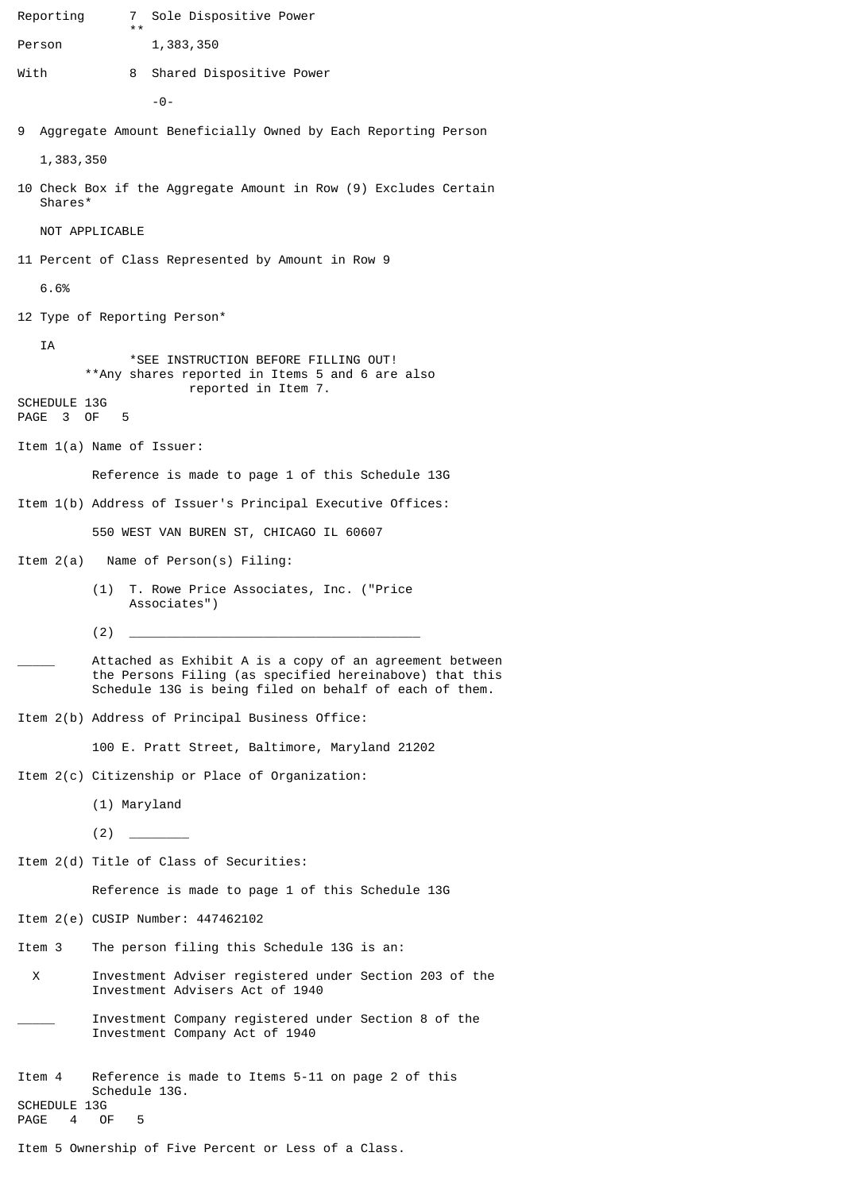Reporting 7 Sole Dispositive Power \*\*\* Person 1,383,350 With 8 Shared Dispositive Power  $\Theta$  -9 Aggregate Amount Beneficially Owned by Each Reporting Person 1,383,350 10 Check Box if the Aggregate Amount in Row (9) Excludes Certain Shares\* NOT APPLICABLE 11 Percent of Class Represented by Amount in Row 9 6.6% 12 Type of Reporting Person\* IA \*SEE INSTRUCTION BEFORE FILLING OUT! \*\*Any shares reported in Items 5 and 6 are also reported in Item 7. SCHEDULE 13G PAGE 3 OF 5 Item 1(a) Name of Issuer: Reference is made to page 1 of this Schedule 13G Item 1(b) Address of Issuer's Principal Executive Offices: 550 WEST VAN BUREN ST, CHICAGO IL 60607 Item 2(a) Name of Person(s) Filing: (1) T. Rowe Price Associates, Inc. ("Price Associates") (2) \_\_\_\_\_\_\_\_\_\_\_\_\_\_\_\_\_\_\_\_\_\_\_\_\_\_\_\_\_\_\_\_\_\_\_\_\_\_\_ Attached as Exhibit A is a copy of an agreement between the Persons Filing (as specified hereinabove) that this Schedule 13G is being filed on behalf of each of them. Item 2(b) Address of Principal Business Office: 100 E. Pratt Street, Baltimore, Maryland 21202 Item 2(c) Citizenship or Place of Organization: (1) Maryland  $(2)$   $\qquad$ Item 2(d) Title of Class of Securities: Reference is made to page 1 of this Schedule 13G Item 2(e) CUSIP Number: 447462102 Item 3 The person filing this Schedule 13G is an: X Investment Adviser registered under Section 203 of the Investment Advisers Act of 1940 Investment Company registered under Section 8 of the Investment Company Act of 1940 Item 4 Reference is made to Items 5-11 on page 2 of this Schedule 13G. SCHEDULE 13G<br>PAGE 4 OF PAGE 4 OF 5 Item 5 Ownership of Five Percent or Less of a Class.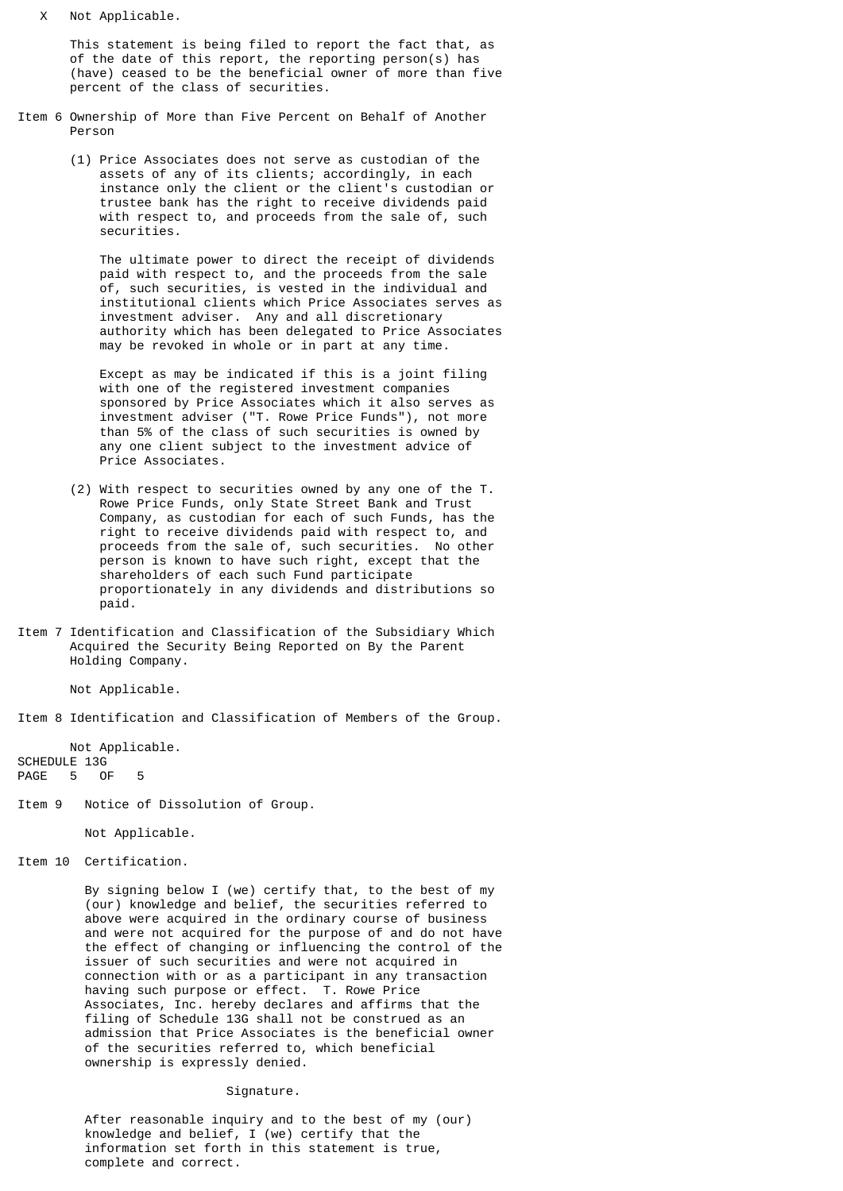X Not Applicable.

 This statement is being filed to report the fact that, as of the date of this report, the reporting person(s) has (have) ceased to be the beneficial owner of more than five percent of the class of securities.

- Item 6 Ownership of More than Five Percent on Behalf of Another Person
	- (1) Price Associates does not serve as custodian of the assets of any of its clients; accordingly, in each instance only the client or the client's custodian or trustee bank has the right to receive dividends paid with respect to, and proceeds from the sale of, such securities.

 The ultimate power to direct the receipt of dividends paid with respect to, and the proceeds from the sale of, such securities, is vested in the individual and institutional clients which Price Associates serves as investment adviser. Any and all discretionary authority which has been delegated to Price Associates may be revoked in whole or in part at any time.

> Except as may be indicated if this is a joint filing with one of the registered investment companies sponsored by Price Associates which it also serves as investment adviser ("T. Rowe Price Funds"), not more than 5% of the class of such securities is owned by any one client subject to the investment advice of Price Associates.

- (2) With respect to securities owned by any one of the T. Rowe Price Funds, only State Street Bank and Trust Company, as custodian for each of such Funds, has the right to receive dividends paid with respect to, and proceeds from the sale of, such securities. No other person is known to have such right, except that the shareholders of each such Fund participate proportionately in any dividends and distributions so paid.
- Item 7 Identification and Classification of the Subsidiary Which Acquired the Security Being Reported on By the Parent Holding Company.

Not Applicable.

Item 8 Identification and Classification of Members of the Group.

 Not Applicable. SCHEDULE 13G PAGE 5 OF 5

Item 9 Notice of Dissolution of Group.

Not Applicable.

Item 10 Certification.

 By signing below I (we) certify that, to the best of my (our) knowledge and belief, the securities referred to above were acquired in the ordinary course of business and were not acquired for the purpose of and do not have the effect of changing or influencing the control of the issuer of such securities and were not acquired in connection with or as a participant in any transaction having such purpose or effect. T. Rowe Price Associates, Inc. hereby declares and affirms that the filing of Schedule 13G shall not be construed as an admission that Price Associates is the beneficial owner of the securities referred to, which beneficial ownership is expressly denied.

## Signature.

 After reasonable inquiry and to the best of my (our) knowledge and belief, I (we) certify that the information set forth in this statement is true, complete and correct.